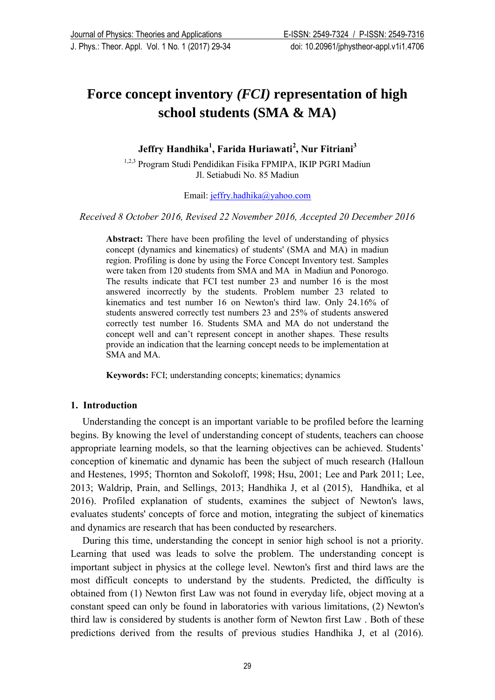J. Phys.: Theor. Appl. Vol. 1 No. 1 (2017) 29-34 doi: [10.20961/jphystheor-appl.v1i1.4706](http://dx.doi.org/10.20961/jphystheor-appl.v1i1.4706)

# **Force concept inventory** *(FCI)* **representation of high school students (SMA & MA)**

**Jeffry Handhika<sup>1</sup> , Farida Huriawati<sup>2</sup> , Nur Fitriani<sup>3</sup>**

1,2,3 Program Studi Pendidikan Fisika FPMIPA, IKIP PGRI Madiun Jl. Setiabudi No. 85 Madiun

Email: [jeffry.hadhika@yahoo.com](mailto:jeffry.hadhika@yahoo.com)

*Received 8 October 2016, Revised 22 November 2016, Accepted 20 December 2016*

**Abstract:** There have been profiling the level of understanding of physics concept (dynamics and kinematics) of students' (SMA and MA) in madiun region. Profiling is done by using the Force Concept Inventory test. Samples were taken from 120 students from SMA and MA in Madiun and Ponorogo. The results indicate that FCI test number 23 and number 16 is the most answered incorrectly by the students. Problem number 23 related to kinematics and test number 16 on Newton's third law. Only 24.16% of students answered correctly test numbers 23 and 25% of students answered correctly test number 16. Students SMA and MA do not understand the concept well and can't represent concept in another shapes. These results provide an indication that the learning concept needs to be implementation at SMA and MA.

**Keywords:** FCI; understanding concepts; kinematics; dynamics

# **1. Introduction**

Understanding the concept is an important variable to be profiled before the learning begins. By knowing the level of understanding concept of students, teachers can choose appropriate learning models, so that the learning objectives can be achieved. Students' conception of kinematic and dynamic has been the subject of much research (Halloun and Hestenes, 1995; Thornton and Sokoloff, 1998; Hsu, 2001; Lee and Park 2011; Lee, 2013; Waldrip, Prain, and Sellings, 2013; Handhika J, et al (2015), Handhika, et al 2016). Profiled explanation of students, examines the subject of Newton's laws, evaluates students' concepts of force and motion, integrating the subject of kinematics and dynamics are research that has been conducted by researchers.

During this time, understanding the concept in senior high school is not a priority. Learning that used was leads to solve the problem. The understanding concept is important subject in physics at the college level. Newton's first and third laws are the most difficult concepts to understand by the students. Predicted, the difficulty is obtained from (1) Newton first Law was not found in everyday life, object moving at a constant speed can only be found in laboratories with various limitations, (2) Newton's third law is considered by students is another form of Newton first Law . Both of these predictions derived from the results of previous studies Handhika J, et al (2016).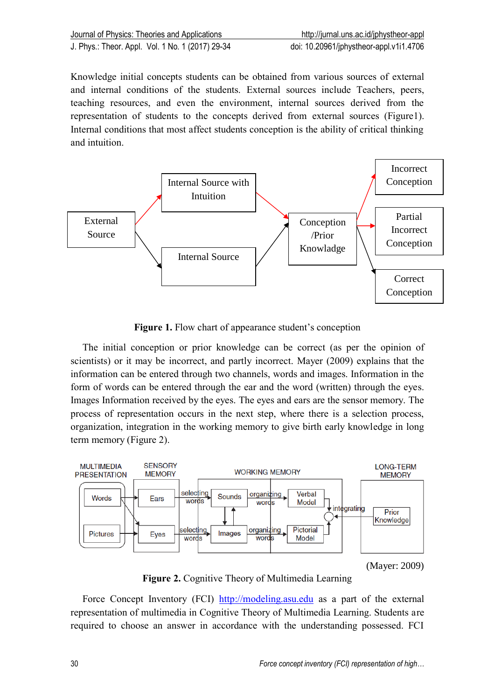Knowledge initial concepts students can be obtained from various sources of external and internal conditions of the students. External sources include Teachers, peers, teaching resources, and even the environment, internal sources derived from the representation of students to the concepts derived from external sources (Figure1). Internal conditions that most affect students conception is the ability of critical thinking and intuition.



**Figure 1.** Flow chart of appearance student's conception

The initial conception or prior knowledge can be correct (as per the opinion of scientists) or it may be incorrect, and partly incorrect. Mayer (2009) explains that the information can be entered through two channels, words and images. Information in the form of words can be entered through the ear and the word (written) through the eyes. Images Information received by the eyes. The eyes and ears are the sensor memory. The process of representation occurs in the next step, where there is a selection process, organization, integration in the working memory to give birth early knowledge in long term memory (Figure 2).



**Figure 2.** Cognitive Theory of Multimedia Learning

Force Concept Inventory (FCI) [http://modeling.asu.edu](http://modeling.asu.edu/) as a part of the external representation of multimedia in Cognitive Theory of Multimedia Learning. Students are required to choose an answer in accordance with the understanding possessed. FCI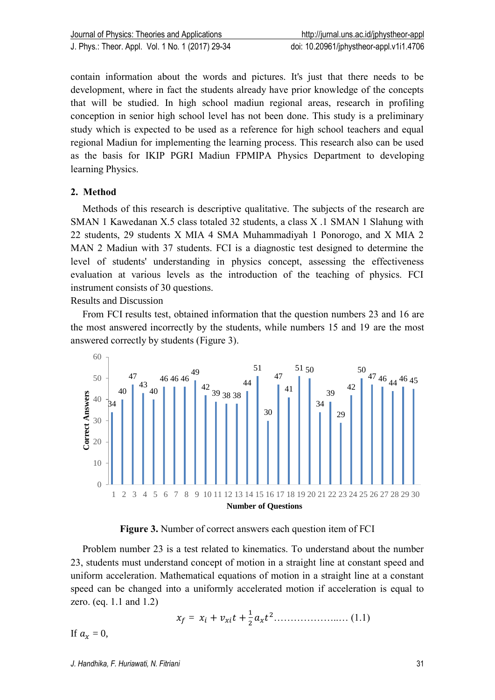contain information about the words and pictures. It's just that there needs to be development, where in fact the students already have prior knowledge of the concepts that will be studied. In high school madiun regional areas, research in profiling conception in senior high school level has not been done. This study is a preliminary study which is expected to be used as a reference for high school teachers and equal regional Madiun for implementing the learning process. This research also can be used as the basis for IKIP PGRI Madiun FPMIPA Physics Department to developing learning Physics.

# **2. Method**

Methods of this research is descriptive qualitative. The subjects of the research are SMAN 1 Kawedanan X.5 class totaled 32 students, a class X .1 SMAN 1 Slahung with 22 students, 29 students X MIA 4 SMA Muhammadiyah 1 Ponorogo, and X MIA 2 MAN 2 Madiun with 37 students. FCI is a diagnostic test designed to determine the level of students' understanding in physics concept, assessing the effectiveness evaluation at various levels as the introduction of the teaching of physics. FCI instrument consists of 30 questions.

Results and Discussion

From FCI results test, obtained information that the question numbers 23 and 16 are the most answered incorrectly by the students, while numbers 15 and 19 are the most answered correctly by students (Figure 3).



**Figure 3.** Number of correct answers each question item of FCI

Problem number 23 is a test related to kinematics. To understand about the number 23, students must understand concept of motion in a straight line at constant speed and uniform acceleration. Mathematical equations of motion in a straight line at a constant speed can be changed into a uniformly accelerated motion if acceleration is equal to zero. (eq. 1.1 and 1.2)

 = + + 1 2 <sup>2</sup>………………..… (1.1)

If  $a_r = 0$ ,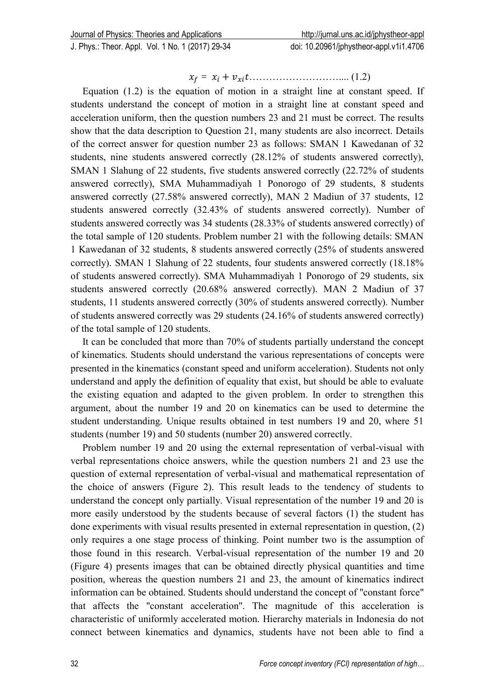J. Phys.: Theor. Appl. Vol. 1 No. 1 (2017) 29-34 doi: [10.20961/jphystheor-appl.v1i1.4706](http://dx.doi.org/10.20961/jphystheor-appl.v1i1.4706)

= + ……………………….... (1.2)

Equation (1.2) is the equation of motion in a straight line at constant speed. If students understand the concept of motion in a straight line at constant speed and acceleration uniform, then the question numbers 23 and 21 must be correct. The results show that the data description to Question 21, many students are also incorrect. Details of the correct answer for question number 23 as follows: SMAN 1 Kawedanan of 32 students, nine students answered correctly (28.12% of students answered correctly), SMAN 1 Slahung of 22 students, five students answered correctly (22.72% of students answered correctly), SMA Muhammadiyah 1 Ponorogo of 29 students, 8 students answered correctly (27.58% answered correctly), MAN 2 Madiun of 37 students, 12 students answered correctly (32.43% of students answered correctly). Number of students answered correctly was 34 students (28.33% of students answered correctly) of the total sample of 120 students. Problem number 21 with the following details: SMAN 1 Kawedanan of 32 students, 8 students answered correctly (25% of students answered correctly). SMAN 1 Slahung of 22 students, four students answered correctly (18.18% of students answered correctly). SMA Muhammadiyah 1 Ponorogo of 29 students, six students answered correctly (20.68% answered correctly). MAN 2 Madiun of 37 students, 11 students answered correctly (30% of students answered correctly). Number of students answered correctly was 29 students (24.16% of students answered correctly) of the total sample of 120 students.

It can be concluded that more than 70% of students partially understand the concept of kinematics. Students should understand the various representations of concepts were presented in the kinematics (constant speed and uniform acceleration). Students not only understand and apply the definition of equality that exist, but should be able to evaluate the existing equation and adapted to the given problem. In order to strengthen this argument, about the number 19 and 20 on kinematics can be used to determine the student understanding. Unique results obtained in test numbers 19 and 20, where 51 students (number 19) and 50 students (number 20) answered correctly.

Problem number 19 and 20 using the external representation of verbal-visual with verbal representations choice answers, while the question numbers 21 and 23 use the question of external representation of verbal-visual and mathematical representation of the choice of answers (Figure 2). This result leads to the tendency of students to understand the concept only partially. Visual representation of the number 19 and 20 is more easily understood by the students because of several factors (1) the student has done experiments with visual results presented in external representation in question, (2) only requires a one stage process of thinking. Point number two is the assumption of those found in this research. Verbal-visual representation of the number 19 and 20 (Figure 4) presents images that can be obtained directly physical quantities and time position, whereas the question numbers 21 and 23, the amount of kinematics indirect information can be obtained. Students should understand the concept of "constant force" that affects the "constant acceleration". The magnitude of this acceleration is characteristic of uniformly accelerated motion. Hierarchy materials in Indonesia do not connect between kinematics and dynamics, students have not been able to find a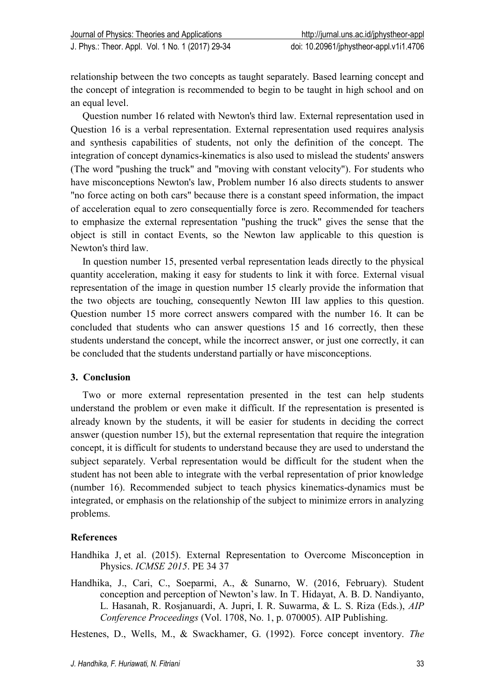relationship between the two concepts as taught separately. Based learning concept and the concept of integration is recommended to begin to be taught in high school and on an equal level.

Question number 16 related with Newton's third law. External representation used in Question 16 is a verbal representation. External representation used requires analysis and synthesis capabilities of students, not only the definition of the concept. The integration of concept dynamics-kinematics is also used to mislead the students' answers (The word "pushing the truck" and "moving with constant velocity"). For students who have misconceptions Newton's law, Problem number 16 also directs students to answer "no force acting on both cars" because there is a constant speed information, the impact of acceleration equal to zero consequentially force is zero. Recommended for teachers to emphasize the external representation "pushing the truck" gives the sense that the object is still in contact Events, so the Newton law applicable to this question is Newton's third law.

In question number 15, presented verbal representation leads directly to the physical quantity acceleration, making it easy for students to link it with force. External visual representation of the image in question number 15 clearly provide the information that the two objects are touching, consequently Newton III law applies to this question. Question number 15 more correct answers compared with the number 16. It can be concluded that students who can answer questions 15 and 16 correctly, then these students understand the concept, while the incorrect answer, or just one correctly, it can be concluded that the students understand partially or have misconceptions.

# **3. Conclusion**

Two or more external representation presented in the test can help students understand the problem or even make it difficult. If the representation is presented is already known by the students, it will be easier for students in deciding the correct answer (question number 15), but the external representation that require the integration concept, it is difficult for students to understand because they are used to understand the subject separately. Verbal representation would be difficult for the student when the student has not been able to integrate with the verbal representation of prior knowledge (number 16). Recommended subject to teach physics kinematics-dynamics must be integrated, or emphasis on the relationship of the subject to minimize errors in analyzing problems.

# **References**

[Handhika](http://scitation.aip.org/search?value1=Jeffry+Handhika&option1=author&option912=resultCategory&value912=ResearchPublicationContent) J, et al. (2015). External Representation to Overcome Misconception in Physics. *ICMSE 2015*. PE 34 37

Handhika, J., Cari, C., Soeparmi, A., & Sunarno, W. (2016, February). Student conception and perception of Newton's law. In T. Hidayat, A. B. D. Nandiyanto, L. Hasanah, R. Rosjanuardi, A. Jupri, I. R. Suwarma, & L. S. Riza (Eds.), *AIP Conference Proceedings* (Vol. 1708, No. 1, p. 070005). AIP Publishing.

Hestenes, D., Wells, M., & Swackhamer, G. (1992). Force concept inventory. *The*